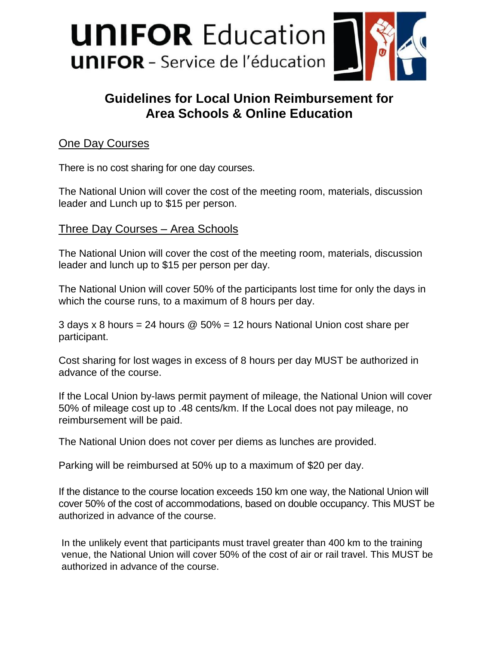

# **Guidelines for Local Union Reimbursement for Area Schools & Online Education**

## **One Day Courses**

There is no cost sharing for one day courses.

The National Union will cover the cost of the meeting room, materials, discussion leader and Lunch up to \$15 per person.

### Three Day Courses – Area Schools

The National Union will cover the cost of the meeting room, materials, discussion leader and lunch up to \$15 per person per day.

The National Union will cover 50% of the participants lost time for only the days in which the course runs, to a maximum of 8 hours per day.

3 days x 8 hours = 24 hours @ 50% = 12 hours National Union cost share per participant.

Cost sharing for lost wages in excess of 8 hours per day MUST be authorized in advance of the course.

If the Local Union by-laws permit payment of mileage, the National Union will cover 50% of mileage cost up to .48 cents/km. If the Local does not pay mileage, no reimbursement will be paid.

The National Union does not cover per diems as lunches are provided.

Parking will be reimbursed at 50% up to a maximum of \$20 per day.

If the distance to the course location exceeds 150 km one way, the National Union will cover 50% of the cost of accommodations, based on double occupancy. This MUST be authorized in advance of the course.

In the unlikely event that participants must travel greater than 400 km to the training venue, the National Union will cover 50% of the cost of air or rail travel. This MUST be authorized in advance of the course.